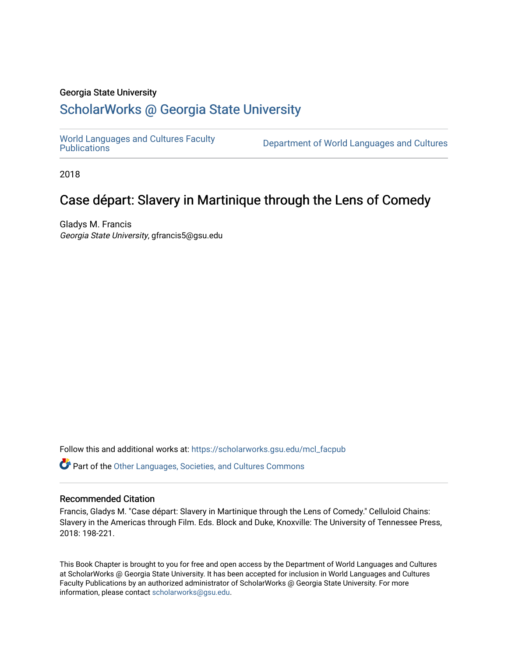### Georgia State University

# [ScholarWorks @ Georgia State University](https://scholarworks.gsu.edu/)

[World Languages and Cultures Faculty](https://scholarworks.gsu.edu/mcl_facpub)<br>Publications

Department of World Languages and Cultures

2018

# Case départ: Slavery in Martinique through the Lens of Comedy

Gladys M. Francis Georgia State University, gfrancis5@gsu.edu

Follow this and additional works at: [https://scholarworks.gsu.edu/mcl\\_facpub](https://scholarworks.gsu.edu/mcl_facpub?utm_source=scholarworks.gsu.edu%2Fmcl_facpub%2F92&utm_medium=PDF&utm_campaign=PDFCoverPages) 

Part of the [Other Languages, Societies, and Cultures Commons](https://network.bepress.com/hgg/discipline/475?utm_source=scholarworks.gsu.edu%2Fmcl_facpub%2F92&utm_medium=PDF&utm_campaign=PDFCoverPages)

## Recommended Citation

Francis, Gladys M. "Case départ: Slavery in Martinique through the Lens of Comedy." Celluloid Chains: Slavery in the Americas through Film. Eds. Block and Duke, Knoxville: The University of Tennessee Press, 2018: 198-221.

This Book Chapter is brought to you for free and open access by the Department of World Languages and Cultures at ScholarWorks @ Georgia State University. It has been accepted for inclusion in World Languages and Cultures Faculty Publications by an authorized administrator of ScholarWorks @ Georgia State University. For more information, please contact [scholarworks@gsu.edu](mailto:scholarworks@gsu.edu).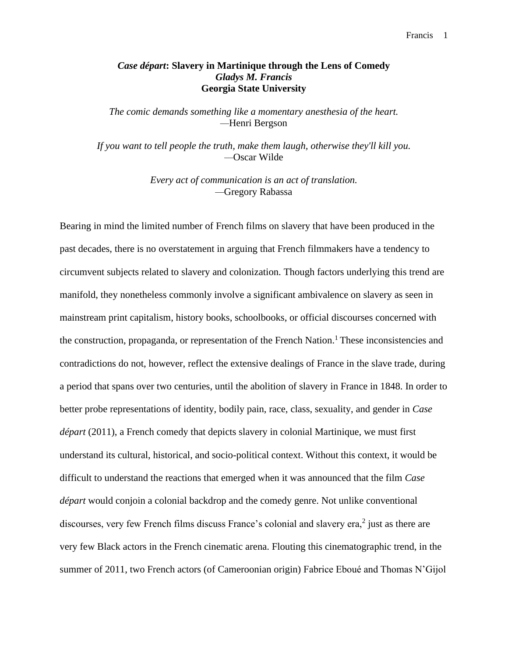## *Case départ***: Slavery in Martinique through the Lens of Comedy** *Gladys M. Francis* **Georgia State University**

*The comic demands something like a momentary anesthesia of the heart. —*Henri Bergson

*If you want to tell people the truth, make them laugh, otherwise they'll kill you. —*Oscar Wilde

> *Every act of communication is an act of translation. —*Gregory Rabassa

Bearing in mind the limited number of French films on slavery that have been produced in the past decades, there is no overstatement in arguing that French filmmakers have a tendency to circumvent subjects related to slavery and colonization. Though factors underlying this trend are manifold, they nonetheless commonly involve a significant ambivalence on slavery as seen in mainstream print capitalism, history books, schoolbooks, or official discourses concerned with the construction, propaganda, or representation of the French Nation.<sup>1</sup> These inconsistencies and contradictions do not, however, reflect the extensive dealings of France in the slave trade, during a period that spans over two centuries, until the abolition of slavery in France in 1848. In order to better probe representations of identity, bodily pain, race, class, sexuality, and gender in *Case départ* (2011), a French comedy that depicts slavery in colonial Martinique, we must first understand its cultural, historical, and socio-political context. Without this context, it would be difficult to understand the reactions that emerged when it was announced that the film *Case départ* would conjoin a colonial backdrop and the comedy genre. Not unlike conventional discourses, very few French films discuss France's colonial and slavery era, $2$  just as there are very few Black actors in the French cinematic arena. Flouting this cinematographic trend, in the summer of 2011, two French actors (of Cameroonian origin) Fabrice Eboué and Thomas N'Gijol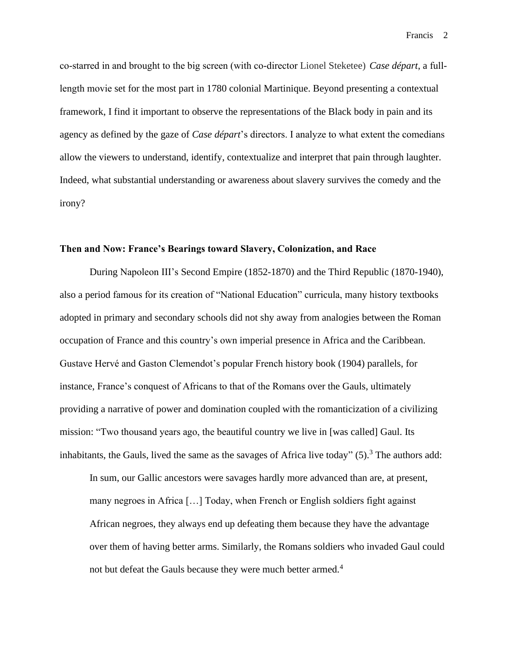co-starred in and brought to the big screen (with co-director Lionel Steketee) *Case départ*, a fulllength movie set for the most part in 1780 colonial Martinique. Beyond presenting a contextual framework, I find it important to observe the representations of the Black body in pain and its agency as defined by the gaze of *Case départ*'s directors. I analyze to what extent the comedians allow the viewers to understand, identify, contextualize and interpret that pain through laughter. Indeed, what substantial understanding or awareness about slavery survives the comedy and the irony?

### **Then and Now: France's Bearings toward Slavery, Colonization, and Race**

During Napoleon III's Second Empire (1852-1870) and the Third Republic (1870-1940), also a period famous for its creation of "National Education" curricula, many history textbooks adopted in primary and secondary schools did not shy away from analogies between the Roman occupation of France and this country's own imperial presence in Africa and the Caribbean. Gustave Hervé and Gaston Clemendot's popular French history book (1904) parallels, for instance, France's conquest of Africans to that of the Romans over the Gauls, ultimately providing a narrative of power and domination coupled with the romanticization of a civilizing mission: "Two thousand years ago, the beautiful country we live in [was called] Gaul. Its inhabitants, the Gauls, lived the same as the savages of Africa live today"  $(5)$ .<sup>3</sup> The authors add:

In sum, our Gallic ancestors were savages hardly more advanced than are, at present, many negroes in Africa […] Today, when French or English soldiers fight against African negroes, they always end up defeating them because they have the advantage over them of having better arms. Similarly, the Romans soldiers who invaded Gaul could not but defeat the Gauls because they were much better armed.<sup>4</sup>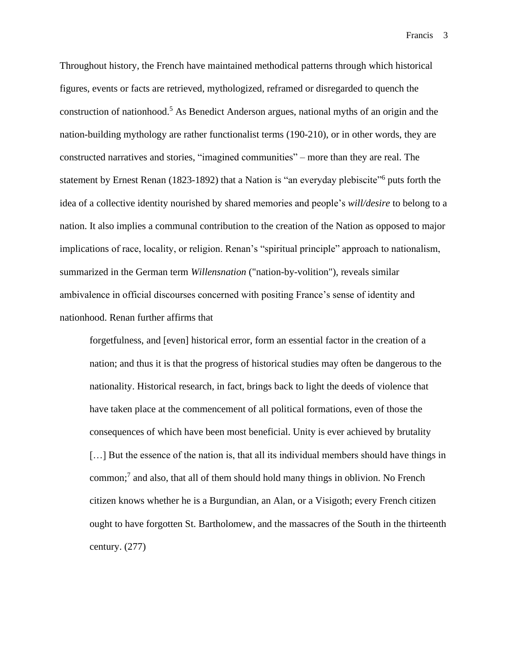Throughout history, the French have maintained methodical patterns through which historical figures, events or facts are retrieved, mythologized, reframed or disregarded to quench the construction of nationhood.<sup>5</sup> As Benedict Anderson argues, national myths of an origin and the nation-building mythology are rather functionalist terms (190-210), or in other words, they are constructed narratives and stories, "imagined communities" – more than they are real. The statement by Ernest Renan (1823-1892) that a Nation is "an everyday plebiscite"<sup>6</sup> puts forth the idea of a collective identity nourished by shared memories and people's *will/desire* to belong to a nation. It also implies a communal contribution to the creation of the Nation as opposed to major implications of race, locality, or religion. Renan's "spiritual principle" approach to nationalism, summarized in the German term *Willensnation* ("nation-by-volition"), reveals similar ambivalence in official discourses concerned with positing France's sense of identity and nationhood. Renan further affirms that

forgetfulness, and [even] historical error, form an essential factor in the creation of a nation; and thus it is that the progress of historical studies may often be dangerous to the nationality. Historical research, in fact, brings back to light the deeds of violence that have taken place at the commencement of all political formations, even of those the consequences of which have been most beneficial. Unity is ever achieved by brutality [...] But the essence of the nation is, that all its individual members should have things in common;<sup>7</sup> and also, that all of them should hold many things in oblivion. No French citizen knows whether he is a Burgundian, an Alan, or a Visigoth; every French citizen ought to have forgotten St. Bartholomew, and the massacres of the South in the thirteenth century. (277)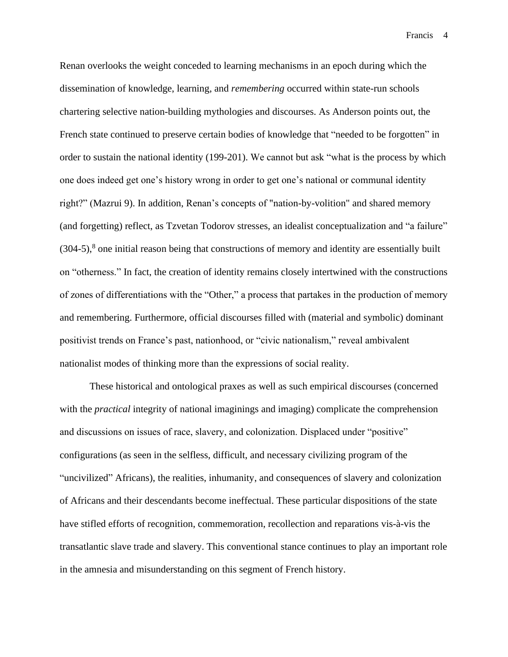Renan overlooks the weight conceded to learning mechanisms in an epoch during which the dissemination of knowledge, learning, and *remembering* occurred within state-run schools chartering selective nation-building mythologies and discourses. As Anderson points out, the French state continued to preserve certain bodies of knowledge that "needed to be forgotten" in order to sustain the national identity (199-201). We cannot but ask "what is the process by which one does indeed get one's history wrong in order to get one's national or communal identity right?" (Mazrui 9). In addition, Renan's concepts of "nation-by-volition" and shared memory (and forgetting) reflect, as Tzvetan Todorov stresses, an idealist conceptualization and "a failure"  $(304-5)$ ,<sup>8</sup> one initial reason being that constructions of memory and identity are essentially built on "otherness." In fact, the creation of identity remains closely intertwined with the constructions of zones of differentiations with the "Other," a process that partakes in the production of memory and remembering. Furthermore, official discourses filled with (material and symbolic) dominant positivist trends on France's past, nationhood, or "civic nationalism," reveal ambivalent nationalist modes of thinking more than the expressions of social reality.

These historical and ontological praxes as well as such empirical discourses (concerned with the *practical* integrity of national imaginings and imaging) complicate the comprehension and discussions on issues of race, slavery, and colonization. Displaced under "positive" configurations (as seen in the selfless, difficult, and necessary civilizing program of the "uncivilized" Africans), the realities, inhumanity, and consequences of slavery and colonization of Africans and their descendants become ineffectual. These particular dispositions of the state have stifled efforts of recognition, commemoration, recollection and reparations vis-à-vis the transatlantic slave trade and slavery. This conventional stance continues to play an important role in the amnesia and misunderstanding on this segment of French history.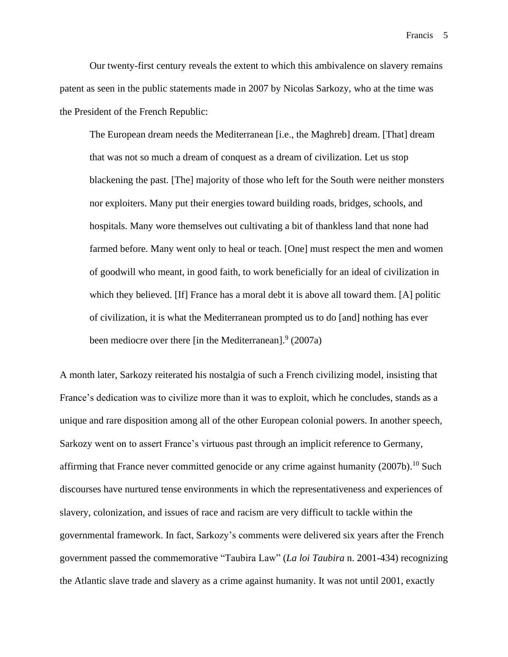Our twenty-first century reveals the extent to which this ambivalence on slavery remains patent as seen in the public statements made in 2007 by Nicolas Sarkozy, who at the time was the President of the French Republic:

The European dream needs the Mediterranean [i.e., the Maghreb] dream. [That] dream that was not so much a dream of conquest as a dream of civilization. Let us stop blackening the past. [The] majority of those who left for the South were neither monsters nor exploiters. Many put their energies toward building roads, bridges, schools, and hospitals. Many wore themselves out cultivating a bit of thankless land that none had farmed before. Many went only to heal or teach. [One] must respect the men and women of goodwill who meant, in good faith, to work beneficially for an ideal of civilization in which they believed. [If] France has a moral debt it is above all toward them. [A] politic of civilization, it is what the Mediterranean prompted us to do [and] nothing has ever been mediocre over there [in the Mediterranean].<sup>9</sup> (2007a)

A month later, Sarkozy reiterated his nostalgia of such a French civilizing model, insisting that France's dedication was to civilize more than it was to exploit, which he concludes, stands as a unique and rare disposition among all of the other European colonial powers. In another speech, Sarkozy went on to assert France's virtuous past through an implicit reference to Germany, affirming that France never committed genocide or any crime against humanity  $(2007b)$ .<sup>10</sup> Such discourses have nurtured tense environments in which the representativeness and experiences of slavery, colonization, and issues of race and racism are very difficult to tackle within the governmental framework. In fact, Sarkozy's comments were delivered six years after the French government passed the commemorative "Taubira Law" (*La loi Taubira* n. 2001-434) recognizing the Atlantic slave trade and slavery as a crime against humanity. It was not until 2001, exactly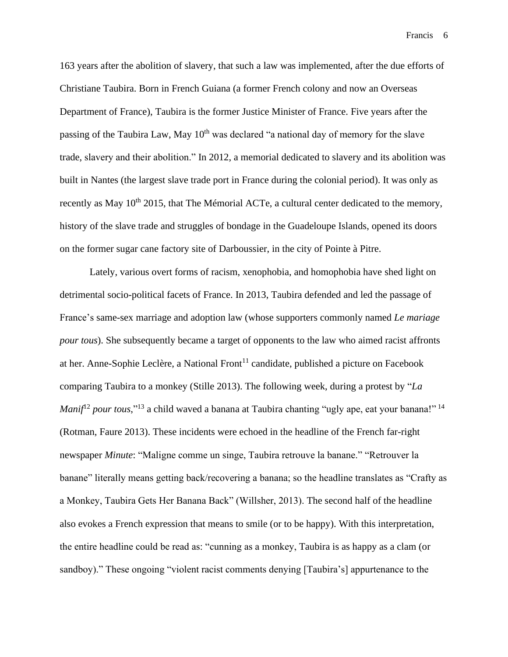163 years after the abolition of slavery, that such a law was implemented, after the due efforts of Christiane Taubira. Born in French Guiana (a former French colony and now an Overseas Department of France), Taubira is the former Justice Minister of France. Five years after the passing of the Taubira Law, May  $10<sup>th</sup>$  was declared "a national day of memory for the slave trade, slavery and their abolition." In 2012, a memorial dedicated to slavery and its abolition was built in Nantes (the largest slave trade port in France during the colonial period). It was only as recently as May 10<sup>th</sup> 2015, that The Mémorial ACTe, a cultural center dedicated to the memory, history of the slave trade and struggles of bondage in the Guadeloupe Islands, opened its doors on the former sugar cane factory site of Darboussier, in the city of Pointe à Pitre.

Lately, various overt forms of racism, xenophobia, and homophobia have shed light on detrimental socio-political facets of France. In 2013, Taubira defended and led the passage of France's same-sex marriage and adoption law (whose supporters commonly named *Le mariage pour tous*). She subsequently became a target of opponents to the law who aimed racist affronts at her. Anne-Sophie Leclère, a National Front<sup>11</sup> candidate, published a picture on Facebook comparing Taubira to a monkey (Stille 2013). The following week, during a protest by "*La Manif*<sup>12</sup> *pour tous*,"<sup>13</sup> a child waved a banana at Taubira chanting "ugly ape, eat your banana!" <sup>14</sup> (Rotman, Faure 2013). These incidents were echoed in the headline of the French far-right newspaper *Minute*: "Maligne comme un singe, Taubira retrouve la banane." "Retrouver la banane" literally means getting back/recovering a banana; so the headline translates as "Crafty as a Monkey, Taubira Gets Her Banana Back" (Willsher, 2013). The second half of the headline also evokes a French expression that means to smile (or to be happy). With this interpretation, the entire headline could be read as: "cunning as a monkey, Taubira is as happy as a clam (or sandboy)." These ongoing "violent racist comments denying [Taubira's] appurtenance to the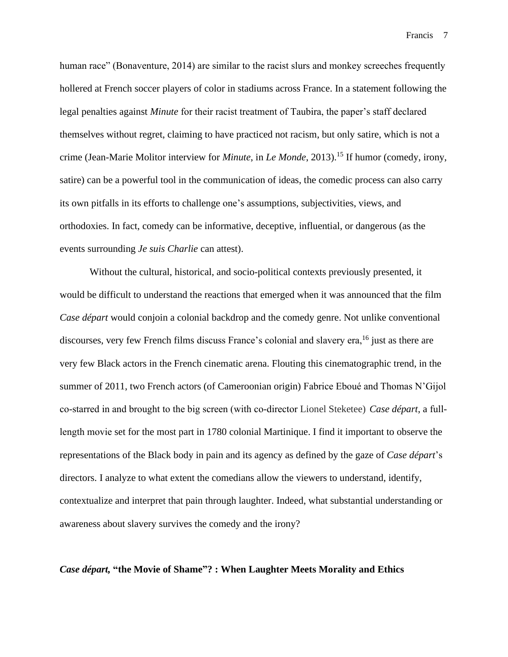human race" (Bonaventure, 2014) are similar to the racist slurs and monkey screeches frequently hollered at French soccer players of color in stadiums across France. In a statement following the legal penalties against *Minute* for their racist treatment of Taubira, the paper's staff declared themselves without regret, claiming to have practiced not racism, but only satire, which is not a crime (Jean-Marie Molitor interview for *Minute*, in *Le Monde*, 2013). <sup>15</sup> If humor (comedy, irony, satire) can be a powerful tool in the communication of ideas, the comedic process can also carry its own pitfalls in its efforts to challenge one's assumptions, subjectivities, views, and orthodoxies. In fact, comedy can be informative, deceptive, influential, or dangerous (as the events surrounding *Je suis Charlie* can attest).

Without the cultural, historical, and socio-political contexts previously presented, it would be difficult to understand the reactions that emerged when it was announced that the film *Case départ* would conjoin a colonial backdrop and the comedy genre. Not unlike conventional discourses, very few French films discuss France's colonial and slavery era,<sup>16</sup> just as there are very few Black actors in the French cinematic arena. Flouting this cinematographic trend, in the summer of 2011, two French actors (of Cameroonian origin) Fabrice Eboué and Thomas N'Gijol co-starred in and brought to the big screen (with co-director Lionel Steketee) *Case départ*, a fulllength movie set for the most part in 1780 colonial Martinique. I find it important to observe the representations of the Black body in pain and its agency as defined by the gaze of *Case départ*'s directors. I analyze to what extent the comedians allow the viewers to understand, identify, contextualize and interpret that pain through laughter. Indeed, what substantial understanding or awareness about slavery survives the comedy and the irony?

#### *Case départ,* **"the Movie of Shame"? : When Laughter Meets Morality and Ethics**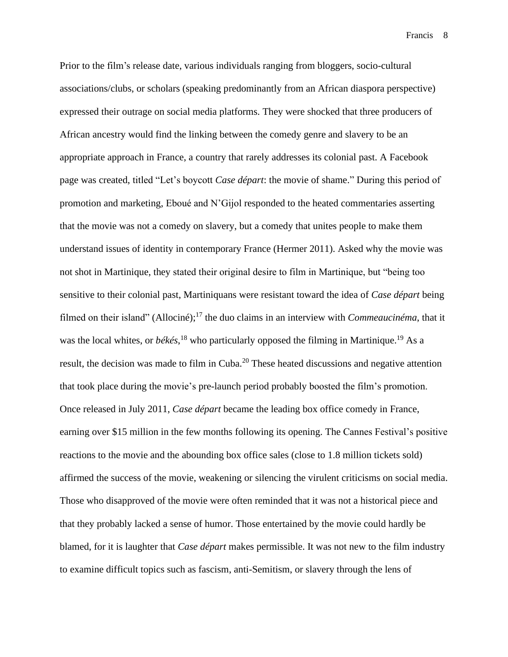Prior to the film's release date, various individuals ranging from bloggers, socio-cultural associations/clubs, or scholars (speaking predominantly from an African diaspora perspective) expressed their outrage on social media platforms. They were shocked that three producers of African ancestry would find the linking between the comedy genre and slavery to be an appropriate approach in France, a country that rarely addresses its colonial past. A Facebook page was created, titled "Let's boycott *Case départ*: the movie of shame." During this period of promotion and marketing, Eboué and N'Gijol responded to the heated commentaries asserting that the movie was not a comedy on slavery, but a comedy that unites people to make them understand issues of identity in contemporary France (Hermer 2011). Asked why the movie was not shot in Martinique, they stated their original desire to film in Martinique, but "being too sensitive to their colonial past, Martiniquans were resistant toward the idea of *Case départ* being filmed on their island" (Allociné); <sup>17</sup> the duo claims in an interview with *Commeaucinéma*, that it was the local whites, or *békés*,<sup>18</sup> who particularly opposed the filming in Martinique.<sup>19</sup> As a result, the decision was made to film in Cuba.<sup>20</sup> These heated discussions and negative attention that took place during the movie's pre-launch period probably boosted the film's promotion. Once released in July 2011, *Case départ* became the leading box office comedy in France, earning over \$15 million in the few months following its opening. The Cannes Festival's positive reactions to the movie and the abounding box office sales (close to 1.8 million tickets sold) affirmed the success of the movie, weakening or silencing the virulent criticisms on social media. Those who disapproved of the movie were often reminded that it was not a historical piece and that they probably lacked a sense of humor. Those entertained by the movie could hardly be blamed, for it is laughter that *Case départ* makes permissible. It was not new to the film industry to examine difficult topics such as fascism, anti-Semitism, or slavery through the lens of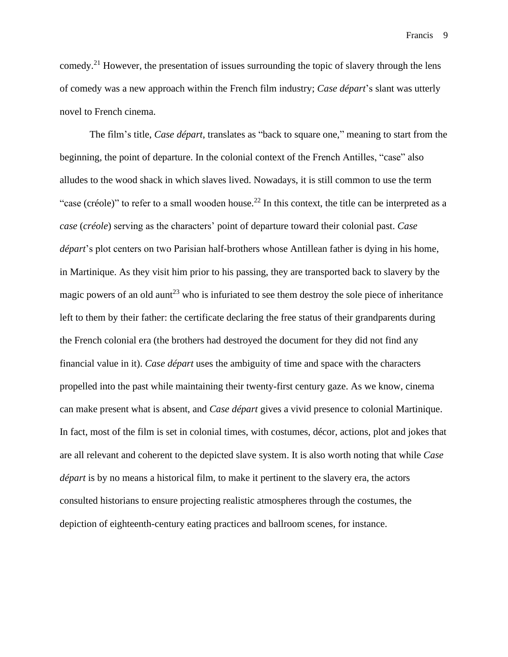comedy.<sup>21</sup> However, the presentation of issues surrounding the topic of slavery through the lens of comedy was a new approach within the French film industry; *Case départ*'s slant was utterly novel to French cinema.

The film's title, *Case départ*, translates as "back to square one," meaning to start from the beginning, the point of departure. In the colonial context of the French Antilles, "case" also alludes to the wood shack in which slaves lived. Nowadays, it is still common to use the term "case (créole)" to refer to a small wooden house.<sup>22</sup> In this context, the title can be interpreted as a *case* (*créole*) serving as the characters' point of departure toward their colonial past. *Case départ*'s plot centers on two Parisian half-brothers whose Antillean father is dying in his home, in Martinique. As they visit him prior to his passing, they are transported back to slavery by the magic powers of an old aunt<sup>23</sup> who is infuriated to see them destroy the sole piece of inheritance left to them by their father: the certificate declaring the free status of their grandparents during the French colonial era (the brothers had destroyed the document for they did not find any financial value in it). *Case départ* uses the ambiguity of time and space with the characters propelled into the past while maintaining their twenty-first century gaze. As we know, cinema can make present what is absent, and *Case départ* gives a vivid presence to colonial Martinique. In fact, most of the film is set in colonial times, with costumes, décor, actions, plot and jokes that are all relevant and coherent to the depicted slave system. It is also worth noting that while *Case départ* is by no means a historical film, to make it pertinent to the slavery era, the actors consulted historians to ensure projecting realistic atmospheres through the costumes, the depiction of eighteenth-century eating practices and ballroom scenes, for instance.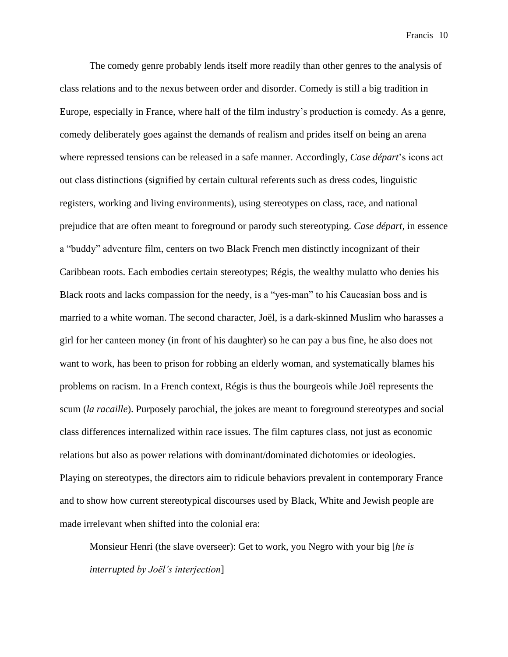The comedy genre probably lends itself more readily than other genres to the analysis of class relations and to the nexus between order and disorder. Comedy is still a big tradition in Europe, especially in France, where half of the film industry's production is comedy. As a genre, comedy deliberately goes against the demands of realism and prides itself on being an arena where repressed tensions can be released in a safe manner. Accordingly, *Case départ*'s icons act out class distinctions (signified by certain cultural referents such as dress codes, linguistic registers, working and living environments), using stereotypes on class, race, and national prejudice that are often meant to foreground or parody such stereotyping. *Case départ,* in essence a "buddy" adventure film, centers on two Black French men distinctly incognizant of their Caribbean roots. Each embodies certain stereotypes; Régis, the wealthy mulatto who denies his Black roots and lacks compassion for the needy, is a "yes-man" to his Caucasian boss and is married to a white woman. The second character, Joël, is a dark-skinned Muslim who harasses a girl for her canteen money (in front of his daughter) so he can pay a bus fine, he also does not want to work, has been to prison for robbing an elderly woman, and systematically blames his problems on racism. In a French context, Régis is thus the bourgeois while Joël represents the scum (*la racaille*). Purposely parochial, the jokes are meant to foreground stereotypes and social class differences internalized within race issues. The film captures class, not just as economic relations but also as power relations with dominant/dominated dichotomies or ideologies. Playing on stereotypes, the directors aim to ridicule behaviors prevalent in contemporary France and to show how current stereotypical discourses used by Black, White and Jewish people are made irrelevant when shifted into the colonial era:

Monsieur Henri (the slave overseer): Get to work, you Negro with your big [*he is interrupted by Joël's interjection*]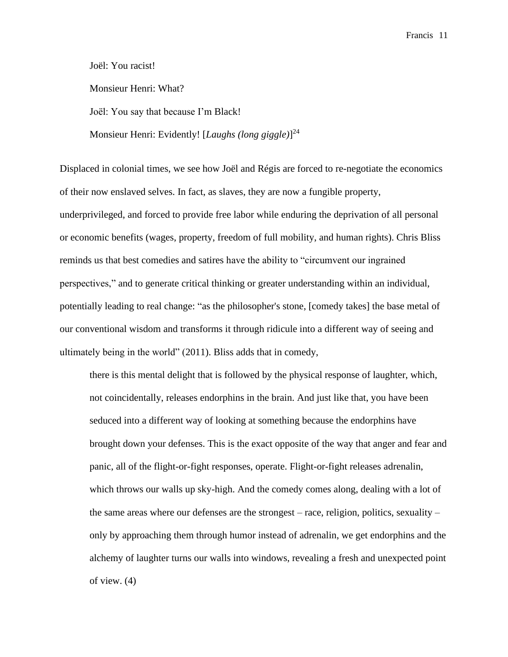Joël: You racist!

Monsieur Henri: What?

Joël: You say that because I'm Black!

Monsieur Henri: Evidently! [*Laughs (long giggle)*] 24

Displaced in colonial times, we see how Joël and Régis are forced to re-negotiate the economics of their now enslaved selves. In fact, as slaves, they are now a fungible property, underprivileged, and forced to provide free labor while enduring the deprivation of all personal or economic benefits (wages, property, freedom of full mobility, and human rights). Chris Bliss reminds us that best comedies and satires have the ability to "circumvent our ingrained perspectives," and to generate critical thinking or greater understanding within an individual, potentially leading to real change: "as the philosopher's stone, [comedy takes] the base metal of our conventional wisdom and transforms it through ridicule into a different way of seeing and ultimately being in the world" (2011). Bliss adds that in comedy,

there is this mental delight that is followed by the physical response of laughter, which, not coincidentally, releases endorphins in the brain. And just like that, you have been seduced into a different way of looking at something because the endorphins have brought down your defenses. This is the exact opposite of the way that anger and fear and panic, all of the flight-or-fight responses, operate. Flight-or-fight releases adrenalin, which throws our walls up sky-high. And the comedy comes along, dealing with a lot of the same areas where our defenses are the strongest – race, religion, politics, sexuality – only by approaching them through humor instead of adrenalin, we get endorphins and the alchemy of laughter turns our walls into windows, revealing a fresh and unexpected point of view. (4)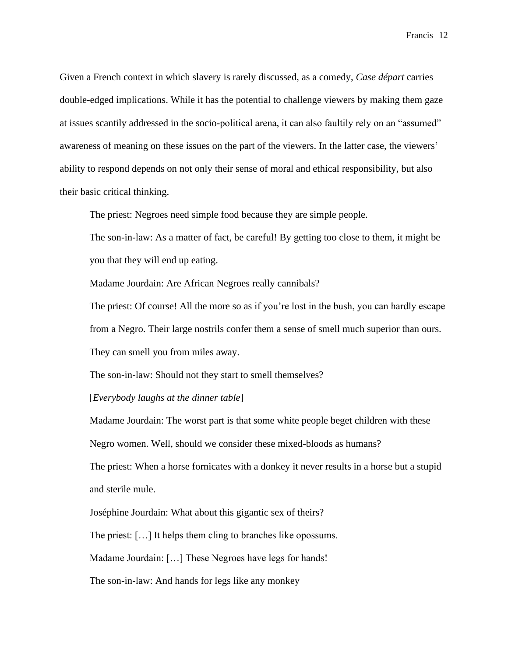Given a French context in which slavery is rarely discussed, as a comedy, *Case départ* carries double-edged implications. While it has the potential to challenge viewers by making them gaze at issues scantily addressed in the socio-political arena, it can also faultily rely on an "assumed" awareness of meaning on these issues on the part of the viewers. In the latter case, the viewers' ability to respond depends on not only their sense of moral and ethical responsibility, but also their basic critical thinking.

The priest: Negroes need simple food because they are simple people.

The son-in-law: As a matter of fact, be careful! By getting too close to them, it might be you that they will end up eating.

Madame Jourdain: Are African Negroes really cannibals?

The priest: Of course! All the more so as if you're lost in the bush, you can hardly escape from a Negro. Their large nostrils confer them a sense of smell much superior than ours.

They can smell you from miles away.

The son-in-law: Should not they start to smell themselves?

[*Everybody laughs at the dinner table*]

Madame Jourdain: The worst part is that some white people beget children with these Negro women. Well, should we consider these mixed-bloods as humans?

The priest: When a horse fornicates with a donkey it never results in a horse but a stupid and sterile mule.

Joséphine Jourdain: What about this gigantic sex of theirs?

The priest: […] It helps them cling to branches like opossums.

Madame Jourdain: […] These Negroes have legs for hands!

The son-in-law: And hands for legs like any monkey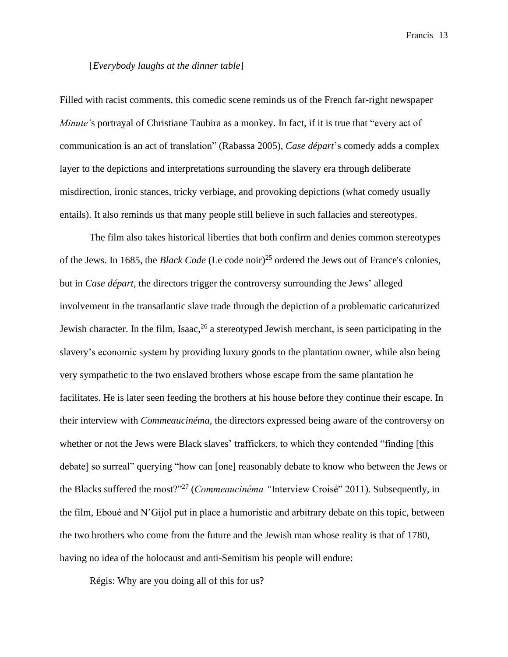### [*Everybody laughs at the dinner table*]

Filled with racist comments, this comedic scene reminds us of the French far-right newspaper *Minute'*s portrayal of Christiane Taubira as a monkey. In fact, if it is true that "every act of communication is an act of translation" (Rabassa 2005), *Case départ*'s comedy adds a complex layer to the depictions and interpretations surrounding the slavery era through deliberate misdirection, ironic stances, tricky verbiage, and provoking depictions (what comedy usually entails). It also reminds us that many people still believe in such fallacies and stereotypes.

The film also takes historical liberties that both confirm and denies common stereotypes of the Jews. In 1685, the *Black Code* (Le code noir)<sup>25</sup> ordered the Jews out of France's colonies, but in *Case départ*, the directors trigger the controversy surrounding the Jews' alleged involvement in the transatlantic slave trade through the depiction of a problematic caricaturized Jewish character. In the film, Isaac,  $26$  a stereotyped Jewish merchant, is seen participating in the slavery's economic system by providing luxury goods to the plantation owner, while also being very sympathetic to the two enslaved brothers whose escape from the same plantation he facilitates. He is later seen feeding the brothers at his house before they continue their escape. In their interview with *Commeaucinéma*, the directors expressed being aware of the controversy on whether or not the Jews were Black slaves' traffickers, to which they contended "finding [this debate] so surreal" querying "how can [one] reasonably debate to know who between the Jews or the Blacks suffered the most?"<sup>27</sup> (*Commeaucinéma "*Interview Croisé" 2011). Subsequently, in the film, Eboué and N'Gijol put in place a humoristic and arbitrary debate on this topic, between the two brothers who come from the future and the Jewish man whose reality is that of 1780, having no idea of the holocaust and anti-Semitism his people will endure:

Régis: Why are you doing all of this for us?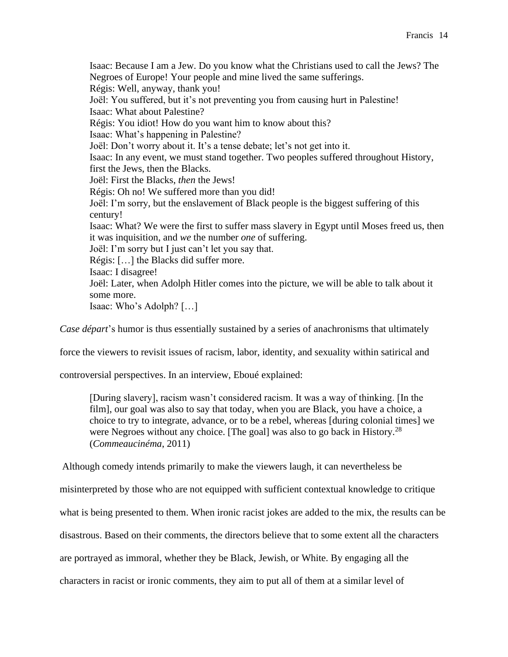Isaac: Because I am a Jew. Do you know what the Christians used to call the Jews? The Negroes of Europe! Your people and mine lived the same sufferings. Régis: Well, anyway, thank you! Joël: You suffered, but it's not preventing you from causing hurt in Palestine! Isaac: What about Palestine? Régis: You idiot! How do you want him to know about this? Isaac: What's happening in Palestine? Joël: Don't worry about it. It's a tense debate; let's not get into it. Isaac: In any event, we must stand together. Two peoples suffered throughout History, first the Jews, then the Blacks. Joël: First the Blacks, *then* the Jews! Régis: Oh no! We suffered more than you did! Joël: I'm sorry, but the enslavement of Black people is the biggest suffering of this century! Isaac: What? We were the first to suffer mass slavery in Egypt until Moses freed us, then it was inquisition, and *we* the number *one* of suffering. Joël: I'm sorry but I just can't let you say that. Régis: […] the Blacks did suffer more. Isaac: I disagree! Joël: Later, when Adolph Hitler comes into the picture, we will be able to talk about it some more. Isaac: Who's Adolph? […]

*Case départ*'s humor is thus essentially sustained by a series of anachronisms that ultimately

force the viewers to revisit issues of racism, labor, identity, and sexuality within satirical and

controversial perspectives. In an interview, Eboué explained:

[During slavery], racism wasn't considered racism. It was a way of thinking. [In the film], our goal was also to say that today, when you are Black, you have a choice, a choice to try to integrate, advance, or to be a rebel, whereas [during colonial times] we were Negroes without any choice. [The goal] was also to go back in History.<sup>28</sup> (*Commeaucinéma*, 2011)

Although comedy intends primarily to make the viewers laugh, it can nevertheless be

misinterpreted by those who are not equipped with sufficient contextual knowledge to critique

what is being presented to them. When ironic racist jokes are added to the mix, the results can be

disastrous. Based on their comments, the directors believe that to some extent all the characters

are portrayed as immoral, whether they be Black, Jewish, or White. By engaging all the

characters in racist or ironic comments, they aim to put all of them at a similar level of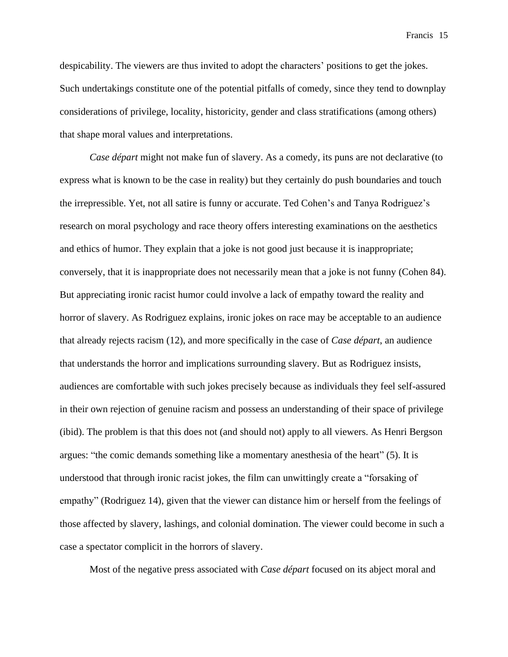despicability. The viewers are thus invited to adopt the characters' positions to get the jokes. Such undertakings constitute one of the potential pitfalls of comedy, since they tend to downplay considerations of privilege, locality, historicity, gender and class stratifications (among others) that shape moral values and interpretations.

*Case départ* might not make fun of slavery. As a comedy, its puns are not declarative (to express what is known to be the case in reality) but they certainly do push boundaries and touch the irrepressible. Yet, not all satire is funny or accurate. Ted Cohen's and Tanya Rodriguez's research on moral psychology and race theory offers interesting examinations on the aesthetics and ethics of humor. They explain that a joke is not good just because it is inappropriate; conversely, that it is inappropriate does not necessarily mean that a joke is not funny (Cohen 84). But appreciating ironic racist humor could involve a lack of empathy toward the reality and horror of slavery. As Rodriguez explains, ironic jokes on race may be acceptable to an audience that already rejects racism (12), and more specifically in the case of *Case départ*, an audience that understands the horror and implications surrounding slavery. But as Rodriguez insists, audiences are comfortable with such jokes precisely because as individuals they feel self-assured in their own rejection of genuine racism and possess an understanding of their space of privilege (ibid). The problem is that this does not (and should not) apply to all viewers. As Henri Bergson argues: "the comic demands something like a momentary anesthesia of the heart" (5). It is understood that through ironic racist jokes, the film can unwittingly create a "forsaking of empathy" (Rodriguez 14), given that the viewer can distance him or herself from the feelings of those affected by slavery, lashings, and colonial domination. The viewer could become in such a case a spectator complicit in the horrors of slavery.

Most of the negative press associated with *Case départ* focused on its abject moral and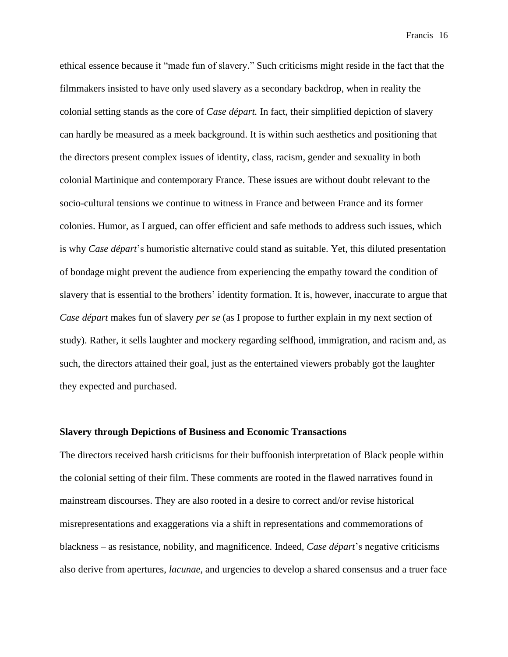ethical essence because it "made fun of slavery." Such criticisms might reside in the fact that the filmmakers insisted to have only used slavery as a secondary backdrop, when in reality the colonial setting stands as the core of *Case départ.* In fact, their simplified depiction of slavery can hardly be measured as a meek background. It is within such aesthetics and positioning that the directors present complex issues of identity, class, racism, gender and sexuality in both colonial Martinique and contemporary France. These issues are without doubt relevant to the socio-cultural tensions we continue to witness in France and between France and its former colonies. Humor, as I argued, can offer efficient and safe methods to address such issues, which is why *Case départ*'s humoristic alternative could stand as suitable. Yet, this diluted presentation of bondage might prevent the audience from experiencing the empathy toward the condition of slavery that is essential to the brothers' identity formation. It is, however, inaccurate to argue that *Case départ* makes fun of slavery *per se* (as I propose to further explain in my next section of study). Rather, it sells laughter and mockery regarding selfhood, immigration, and racism and, as such, the directors attained their goal, just as the entertained viewers probably got the laughter they expected and purchased.

#### **Slavery through Depictions of Business and Economic Transactions**

The directors received harsh criticisms for their buffoonish interpretation of Black people within the colonial setting of their film. These comments are rooted in the flawed narratives found in mainstream discourses. They are also rooted in a desire to correct and/or revise historical misrepresentations and exaggerations via a shift in representations and commemorations of blackness – as resistance, nobility, and magnificence. Indeed*, Case départ*'s negative criticisms also derive from apertures, *lacunae*, and urgencies to develop a shared consensus and a truer face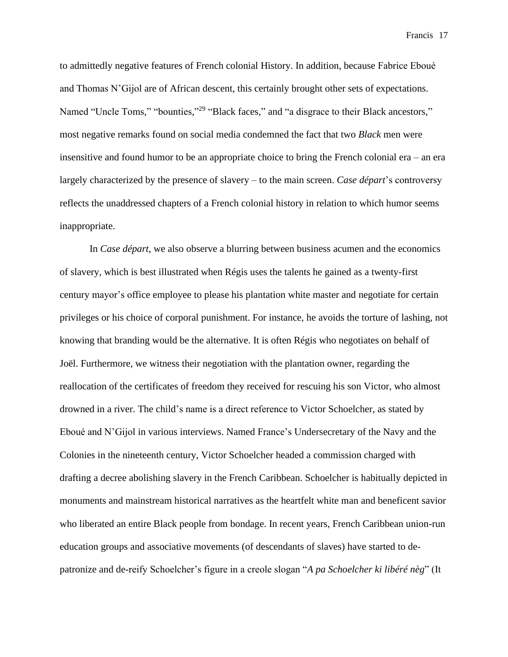to admittedly negative features of French colonial History. In addition, because Fabrice Eboué and Thomas N'Gijol are of African descent, this certainly brought other sets of expectations. Named "Uncle Toms," "bounties,"<sup>29</sup> "Black faces," and "a disgrace to their Black ancestors," most negative remarks found on social media condemned the fact that two *Black* men were insensitive and found humor to be an appropriate choice to bring the French colonial era – an era largely characterized by the presence of slavery – to the main screen. *Case départ*'s controversy reflects the unaddressed chapters of a French colonial history in relation to which humor seems inappropriate.

In *Case départ*, we also observe a blurring between business acumen and the economics of slavery*,* which is best illustrated when Régis uses the talents he gained as a twenty-first century mayor's office employee to please his plantation white master and negotiate for certain privileges or his choice of corporal punishment. For instance, he avoids the torture of lashing, not knowing that branding would be the alternative. It is often Régis who negotiates on behalf of Joël. Furthermore, we witness their negotiation with the plantation owner, regarding the reallocation of the certificates of freedom they received for rescuing his son Victor, who almost drowned in a river. The child's name is a direct reference to Victor Schoelcher, as stated by Eboué and N'Gijol in various interviews. Named France's Undersecretary of the Navy and the Colonies in the nineteenth century, Victor Schoelcher headed a commission charged with drafting a decree abolishing slavery in the French Caribbean. Schoelcher is habitually depicted in monuments and mainstream historical narratives as the heartfelt white man and beneficent savior who liberated an entire Black people from bondage. In recent years, French Caribbean union-run education groups and associative movements (of descendants of slaves) have started to depatronize and de-reify Schoelcher's figure in a creole slogan "*A pa Schoelcher ki libéré nèg*" (It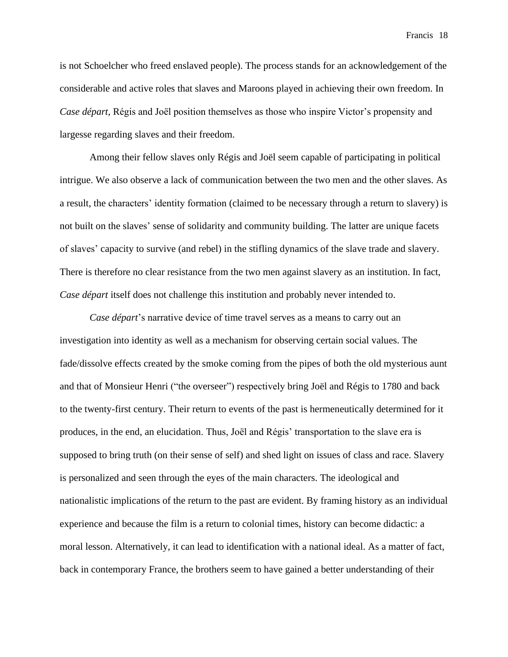is not Schoelcher who freed enslaved people). The process stands for an acknowledgement of the considerable and active roles that slaves and Maroons played in achieving their own freedom. In *Case départ*, Régis and Joël position themselves as those who inspire Victor's propensity and largesse regarding slaves and their freedom.

Among their fellow slaves only Régis and Joël seem capable of participating in political intrigue. We also observe a lack of communication between the two men and the other slaves. As a result, the characters' identity formation (claimed to be necessary through a return to slavery) is not built on the slaves' sense of solidarity and community building. The latter are unique facets of slaves' capacity to survive (and rebel) in the stifling dynamics of the slave trade and slavery. There is therefore no clear resistance from the two men against slavery as an institution. In fact, *Case départ* itself does not challenge this institution and probably never intended to.

*Case départ*'s narrative device of time travel serves as a means to carry out an investigation into identity as well as a mechanism for observing certain social values. The fade/dissolve effects created by the smoke coming from the pipes of both the old mysterious aunt and that of Monsieur Henri ("the overseer") respectively bring Joël and Régis to 1780 and back to the twenty-first century. Their return to events of the past is hermeneutically determined for it produces, in the end, an elucidation. Thus, Joël and Régis' transportation to the slave era is supposed to bring truth (on their sense of self) and shed light on issues of class and race. Slavery is personalized and seen through the eyes of the main characters. The ideological and nationalistic implications of the return to the past are evident. By framing history as an individual experience and because the film is a return to colonial times, history can become didactic: a moral lesson. Alternatively, it can lead to identification with a national ideal. As a matter of fact, back in contemporary France, the brothers seem to have gained a better understanding of their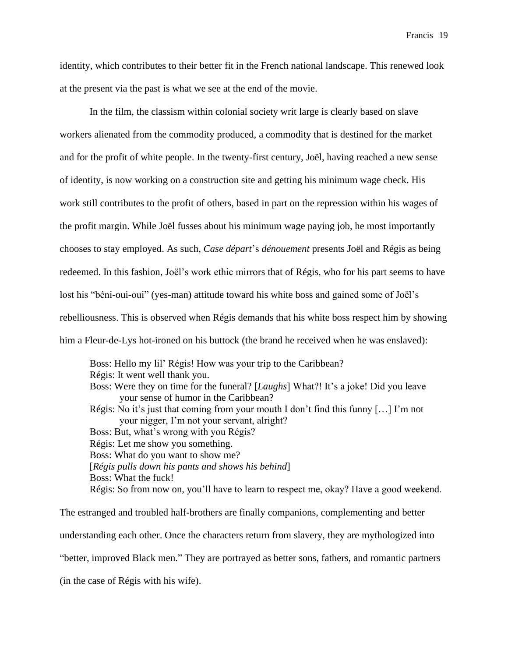identity, which contributes to their better fit in the French national landscape. This renewed look at the present via the past is what we see at the end of the movie.

In the film, the classism within colonial society writ large is clearly based on slave workers alienated from the commodity produced, a commodity that is destined for the market and for the profit of white people. In the twenty-first century, Joël, having reached a new sense of identity, is now working on a construction site and getting his minimum wage check. His work still contributes to the profit of others, based in part on the repression within his wages of the profit margin. While Joël fusses about his minimum wage paying job, he most importantly chooses to stay employed. As such, *Case départ*'s *dénouement* presents Joël and Régis as being redeemed. In this fashion, Joël's work ethic mirrors that of Régis, who for his part seems to have lost his "béni-oui-oui" (yes-man) attitude toward his white boss and gained some of Joël's rebelliousness. This is observed when Régis demands that his white boss respect him by showing him a Fleur-de-Lys hot-ironed on his buttock (the brand he received when he was enslaved):

Boss: Hello my lil' Régis! How was your trip to the Caribbean? Régis: It went well thank you. Boss: Were they on time for the funeral? [*Laughs*] What?! It's a joke! Did you leave your sense of humor in the Caribbean? Régis: No it's just that coming from your mouth I don't find this funny […] I'm not your nigger, I'm not your servant, alright? Boss: But, what's wrong with you Régis? Régis: Let me show you something. Boss: What do you want to show me? [*Régis pulls down his pants and shows his behind*] Boss: What the fuck! Régis: So from now on, you'll have to learn to respect me, okay? Have a good weekend.

The estranged and troubled half-brothers are finally companions, complementing and better understanding each other. Once the characters return from slavery, they are mythologized into "better, improved Black men." They are portrayed as better sons, fathers, and romantic partners (in the case of Régis with his wife).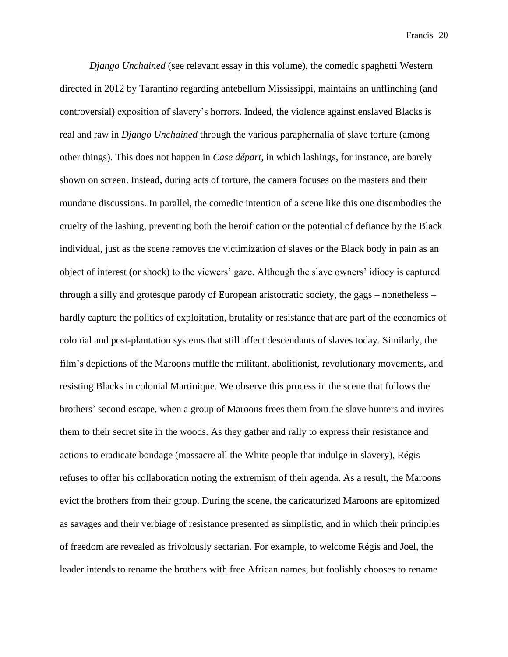*Django Unchained* (see relevant essay in this volume), the comedic spaghetti Western directed in 2012 by Tarantino regarding antebellum Mississippi, maintains an unflinching (and controversial) exposition of slavery's horrors. Indeed, the violence against enslaved Blacks is real and raw in *Django Unchained* through the various paraphernalia of slave torture (among other things). This does not happen in *Case départ*, in which lashings, for instance, are barely shown on screen. Instead, during acts of torture, the camera focuses on the masters and their mundane discussions. In parallel, the comedic intention of a scene like this one disembodies the cruelty of the lashing, preventing both the heroification or the potential of defiance by the Black individual, just as the scene removes the victimization of slaves or the Black body in pain as an object of interest (or shock) to the viewers' gaze. Although the slave owners' idiocy is captured through a silly and grotesque parody of European aristocratic society, the gags – nonetheless – hardly capture the politics of exploitation, brutality or resistance that are part of the economics of colonial and post-plantation systems that still affect descendants of slaves today. Similarly, the film's depictions of the Maroons muffle the militant, abolitionist, revolutionary movements, and resisting Blacks in colonial Martinique. We observe this process in the scene that follows the brothers' second escape, when a group of Maroons frees them from the slave hunters and invites them to their secret site in the woods. As they gather and rally to express their resistance and actions to eradicate bondage (massacre all the White people that indulge in slavery), Régis refuses to offer his collaboration noting the extremism of their agenda. As a result, the Maroons evict the brothers from their group. During the scene, the caricaturized Maroons are epitomized as savages and their verbiage of resistance presented as simplistic, and in which their principles of freedom are revealed as frivolously sectarian. For example, to welcome Régis and Joël, the leader intends to rename the brothers with free African names, but foolishly chooses to rename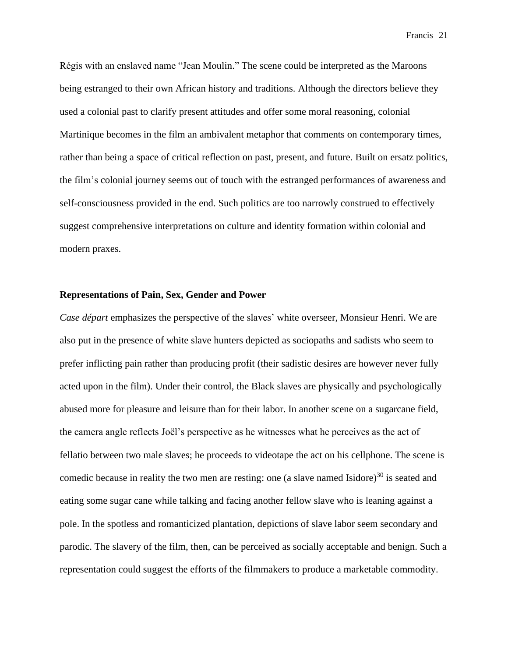Régis with an enslaved name "Jean Moulin." The scene could be interpreted as the Maroons being estranged to their own African history and traditions. Although the directors believe they used a colonial past to clarify present attitudes and offer some moral reasoning, colonial Martinique becomes in the film an ambivalent metaphor that comments on contemporary times, rather than being a space of critical reflection on past, present, and future. Built on ersatz politics, the film's colonial journey seems out of touch with the estranged performances of awareness and self-consciousness provided in the end. Such politics are too narrowly construed to effectively suggest comprehensive interpretations on culture and identity formation within colonial and modern praxes.

#### **Representations of Pain, Sex, Gender and Power**

*Case départ* emphasizes the perspective of the slaves' white overseer, Monsieur Henri. We are also put in the presence of white slave hunters depicted as sociopaths and sadists who seem to prefer inflicting pain rather than producing profit (their sadistic desires are however never fully acted upon in the film). Under their control, the Black slaves are physically and psychologically abused more for pleasure and leisure than for their labor. In another scene on a sugarcane field, the camera angle reflects Joël's perspective as he witnesses what he perceives as the act of fellatio between two male slaves; he proceeds to videotape the act on his cellphone. The scene is comedic because in reality the two men are resting: one (a slave named Isidore)<sup>30</sup> is seated and eating some sugar cane while talking and facing another fellow slave who is leaning against a pole. In the spotless and romanticized plantation, depictions of slave labor seem secondary and parodic. The slavery of the film, then, can be perceived as socially acceptable and benign. Such a representation could suggest the efforts of the filmmakers to produce a marketable commodity.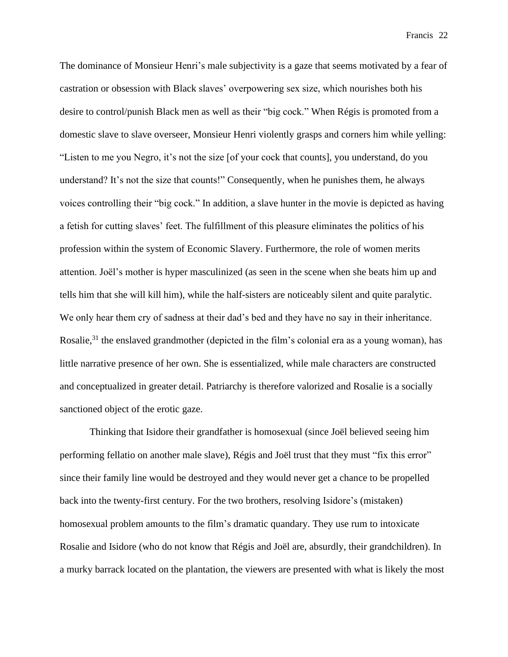The dominance of Monsieur Henri's male subjectivity is a gaze that seems motivated by a fear of castration or obsession with Black slaves' overpowering sex size, which nourishes both his desire to control/punish Black men as well as their "big cock." When Régis is promoted from a domestic slave to slave overseer, Monsieur Henri violently grasps and corners him while yelling: "Listen to me you Negro, it's not the size [of your cock that counts], you understand, do you understand? It's not the size that counts!" Consequently, when he punishes them, he always voices controlling their "big cock." In addition, a slave hunter in the movie is depicted as having a fetish for cutting slaves' feet. The fulfillment of this pleasure eliminates the politics of his profession within the system of Economic Slavery. Furthermore, the role of women merits attention. Joël's mother is hyper masculinized (as seen in the scene when she beats him up and tells him that she will kill him), while the half-sisters are noticeably silent and quite paralytic. We only hear them cry of sadness at their dad's bed and they have no say in their inheritance. Rosalie, $31$  the enslaved grandmother (depicted in the film's colonial era as a young woman), has little narrative presence of her own. She is essentialized, while male characters are constructed and conceptualized in greater detail. Patriarchy is therefore valorized and Rosalie is a socially sanctioned object of the erotic gaze.

Thinking that Isidore their grandfather is homosexual (since Joël believed seeing him performing fellatio on another male slave), Régis and Joël trust that they must "fix this error" since their family line would be destroyed and they would never get a chance to be propelled back into the twenty-first century. For the two brothers, resolving Isidore's (mistaken) homosexual problem amounts to the film's dramatic quandary. They use rum to intoxicate Rosalie and Isidore (who do not know that Régis and Joël are, absurdly, their grandchildren). In a murky barrack located on the plantation, the viewers are presented with what is likely the most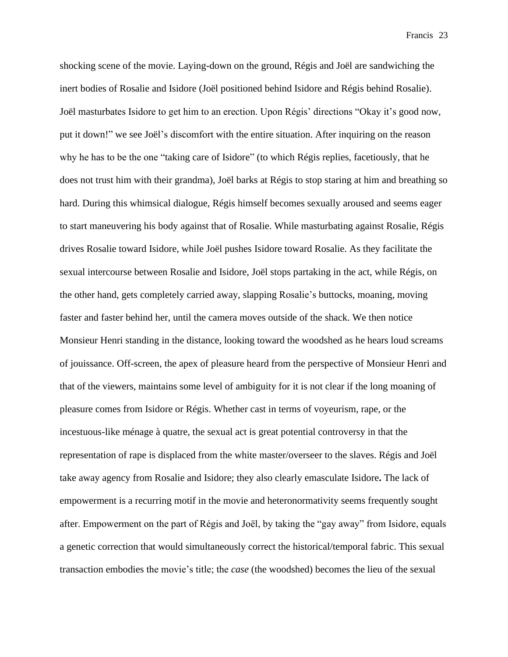shocking scene of the movie. Laying-down on the ground, Régis and Joël are sandwiching the inert bodies of Rosalie and Isidore (Joël positioned behind Isidore and Régis behind Rosalie). Joël masturbates Isidore to get him to an erection. Upon Régis' directions "Okay it's good now, put it down!" we see Joël's discomfort with the entire situation. After inquiring on the reason why he has to be the one "taking care of Isidore" (to which Régis replies, facetiously, that he does not trust him with their grandma), Joël barks at Régis to stop staring at him and breathing so hard. During this whimsical dialogue, Régis himself becomes sexually aroused and seems eager to start maneuvering his body against that of Rosalie. While masturbating against Rosalie, Régis drives Rosalie toward Isidore, while Joël pushes Isidore toward Rosalie. As they facilitate the sexual intercourse between Rosalie and Isidore, Joël stops partaking in the act, while Régis, on the other hand, gets completely carried away, slapping Rosalie's buttocks, moaning, moving faster and faster behind her, until the camera moves outside of the shack. We then notice Monsieur Henri standing in the distance, looking toward the woodshed as he hears loud screams of jouissance. Off-screen, the apex of pleasure heard from the perspective of Monsieur Henri and that of the viewers, maintains some level of ambiguity for it is not clear if the long moaning of pleasure comes from Isidore or Régis. Whether cast in terms of voyeurism, rape, or the incestuous-like ménage à quatre, the sexual act is great potential controversy in that the representation of rape is displaced from the white master/overseer to the slaves. Régis and Joël take away agency from Rosalie and Isidore; they also clearly emasculate Isidore**.** The lack of empowerment is a recurring motif in the movie and heteronormativity seems frequently sought after. Empowerment on the part of Régis and Joël, by taking the "gay away" from Isidore, equals a genetic correction that would simultaneously correct the historical/temporal fabric. This sexual transaction embodies the movie's title; the *case* (the woodshed) becomes the lieu of the sexual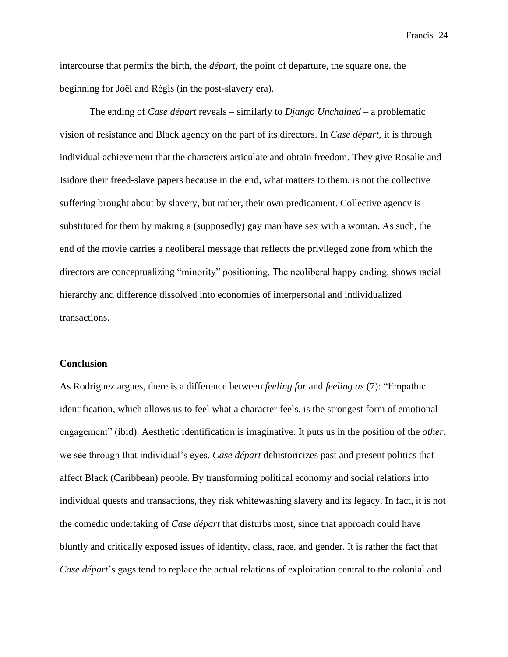intercourse that permits the birth, the *départ*, the point of departure, the square one, the beginning for Joël and Régis (in the post-slavery era).

The ending of *Case départ* reveals – similarly to *Django Unchained –* a problematic vision of resistance and Black agency on the part of its directors. In *Case départ*, it is through individual achievement that the characters articulate and obtain freedom. They give Rosalie and Isidore their freed-slave papers because in the end, what matters to them, is not the collective suffering brought about by slavery, but rather, their own predicament. Collective agency is substituted for them by making a (supposedly) gay man have sex with a woman. As such, the end of the movie carries a neoliberal message that reflects the privileged zone from which the directors are conceptualizing "minority" positioning. The neoliberal happy ending, shows racial hierarchy and difference dissolved into economies of interpersonal and individualized transactions.

### **Conclusion**

As Rodriguez argues, there is a difference between *feeling for* and *feeling as* (7): "Empathic identification, which allows us to feel what a character feels, is the strongest form of emotional engagement" (ibid). Aesthetic identification is imaginative. It puts us in the position of the *other*, we see through that individual's eyes. *Case départ* dehistoricizes past and present politics that affect Black (Caribbean) people. By transforming political economy and social relations into individual quests and transactions, they risk whitewashing slavery and its legacy. In fact, it is not the comedic undertaking of *Case départ* that disturbs most, since that approach could have bluntly and critically exposed issues of identity, class, race, and gender. It is rather the fact that *Case départ*'s gags tend to replace the actual relations of exploitation central to the colonial and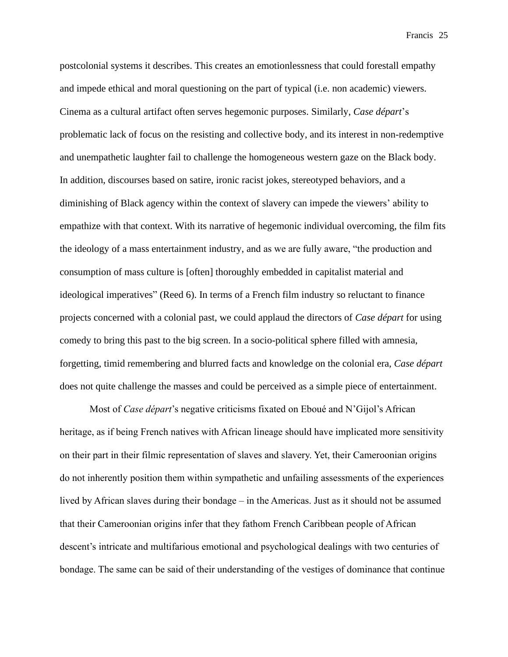postcolonial systems it describes. This creates an emotionlessness that could forestall empathy and impede ethical and moral questioning on the part of typical (i.e. non academic) viewers. Cinema as a cultural artifact often serves hegemonic purposes. Similarly, *Case départ*'s problematic lack of focus on the resisting and collective body, and its interest in non-redemptive and unempathetic laughter fail to challenge the homogeneous western gaze on the Black body. In addition, discourses based on satire, ironic racist jokes, stereotyped behaviors, and a diminishing of Black agency within the context of slavery can impede the viewers' ability to empathize with that context. With its narrative of hegemonic individual overcoming, the film fits the ideology of a mass entertainment industry, and as we are fully aware, "the production and consumption of mass culture is [often] thoroughly embedded in capitalist material and ideological imperatives" (Reed 6). In terms of a French film industry so reluctant to finance projects concerned with a colonial past, we could applaud the directors of *Case départ* for using comedy to bring this past to the big screen. In a socio-political sphere filled with amnesia, forgetting, timid remembering and blurred facts and knowledge on the colonial era, *Case départ* does not quite challenge the masses and could be perceived as a simple piece of entertainment.

Most of *Case départ*'s negative criticisms fixated on Eboué and N'Gijol's African heritage, as if being French natives with African lineage should have implicated more sensitivity on their part in their filmic representation of slaves and slavery. Yet, their Cameroonian origins do not inherently position them within sympathetic and unfailing assessments of the experiences lived by African slaves during their bondage – in the Americas. Just as it should not be assumed that their Cameroonian origins infer that they fathom French Caribbean people of African descent's intricate and multifarious emotional and psychological dealings with two centuries of bondage. The same can be said of their understanding of the vestiges of dominance that continue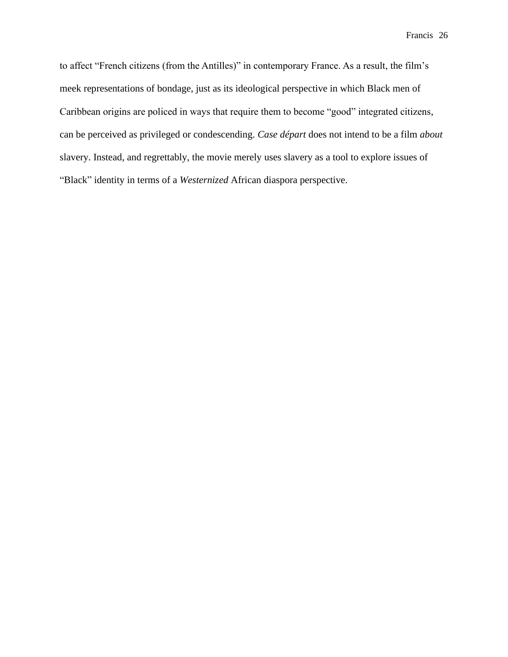to affect "French citizens (from the Antilles)" in contemporary France. As a result, the film's meek representations of bondage, just as its ideological perspective in which Black men of Caribbean origins are policed in ways that require them to become "good" integrated citizens, can be perceived as privileged or condescending. *Case départ* does not intend to be a film *about* slavery. Instead, and regrettably, the movie merely uses slavery as a tool to explore issues of "Black" identity in terms of a *Westernized* African diaspora perspective.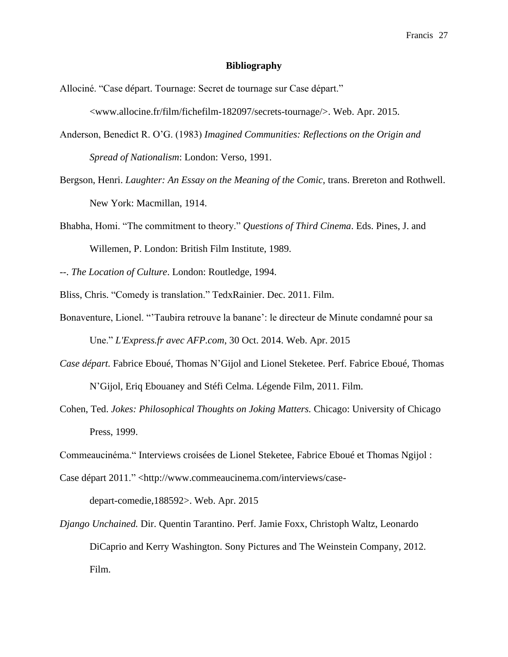#### **Bibliography**

Allociné. "Case départ. Tournage: Secret de tournage sur Case départ."

<www.allocine.fr/film/fichefilm-182097/secrets-tournage/>. Web. Apr. 2015.

- Anderson, Benedict R. O'G. (1983) *Imagined Communities: Reflections on the Origin and Spread of Nationalism*: London: Verso, 1991.
- Bergson, Henri. *Laughter: An Essay on the Meaning of the Comic*, trans. Brereton and Rothwell. New York: Macmillan, 1914.
- Bhabha, Homi. "The commitment to theory." *Questions of Third Cinema*. Eds. Pines, J. and Willemen, P. London: British Film Institute, 1989.

--. *The Location of Culture*. London: Routledge, 1994.

- Bliss, Chris. "Comedy is translation." TedxRainier. Dec. 2011. Film.
- Bonaventure, Lionel. "'Taubira retrouve la banane': le directeur de Minute condamné pour sa Une." *L'Express.fr avec AFP.com*, 30 Oct. 2014. Web. Apr. 2015
- *Case départ.* Fabrice Eboué, Thomas N'Gijol and Lionel Steketee. Perf. Fabrice Eboué, Thomas N'Gijol, Eriq Ebouaney and Stéfi Celma. Légende Film, 2011. Film.
- Cohen, Ted. *Jokes: Philosophical Thoughts on Joking Matters.* Chicago: University of Chicago Press, 1999.
- Commeaucinéma." Interviews croisées de Lionel Steketee, Fabrice Eboué et Thomas Ngijol :
- Case départ 2011." <http://www.commeaucinema.com/interviews/casedepart-comedie,188592>. Web. Apr. 2015
- *Django Unchained.* Dir. Quentin Tarantino. Perf. Jamie Foxx, Christoph Waltz, Leonardo DiCaprio and Kerry Washington. Sony Pictures and The Weinstein Company, 2012. Film.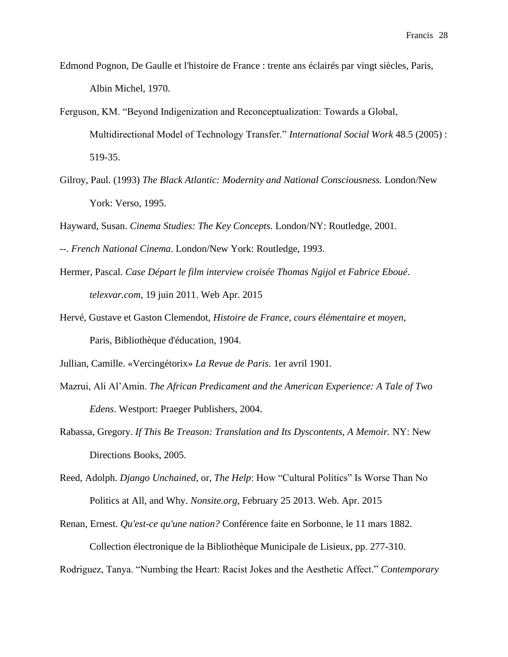- Edmond Pognon, De Gaulle et l'histoire de France : trente ans éclairés par vingt siècles, Paris, Albin Michel, 1970.
- Ferguson, KM. "Beyond Indigenization and Reconceptualization: Towards a Global, Multidirectional Model of Technology Transfer." *International Social Work* 48.5 (2005) : 519-35.
- Gilroy, Paul. (1993) *The Black Atlantic: Modernity and National Consciousness.* London/New York: Verso, 1995.

Hayward, Susan. *Cinema Studies: The Key Concepts.* London/NY: Routledge, 2001.

- --. *French National Cinema*. London/New York: Routledge, 1993.
- Hermer, Pascal. *Case Départ le film interview croisée Thomas Ngijol et Fabrice Eboué*. *telexvar.com*, 19 juin 2011. Web Apr. 2015
- Hervé, Gustave et Gaston Clemendot, *Histoire de France, cours élémentaire et moyen*, Paris, Bibliothèque d'éducation, 1904.
- Jullian, Camille. «Vercingétorix» *La Revue de Paris*. 1er avril 1901.
- Mazrui, Ali Al'Amin. *The African Predicament and the American Experience: A Tale of Two Edens*. Westport: Praeger Publishers, 2004.
- Rabassa, Gregory. *If This Be Treason: Translation and Its Dyscontents, A Memoir.* NY: New Directions Books, 2005.
- Reed, Adolph. *Django Unchained*, or, *The Help*: How "Cultural Politics" Is Worse Than No Politics at All, and Why. *Nonsite.org*, February 25 2013. Web. Apr. 2015
- Renan, Ernest. *Qu'est-ce qu'une nation?* Conférence faite en Sorbonne, le 11 mars 1882. Collection électronique de la Bibliothèque Municipale de Lisieux, pp. 277-310.

Rodriguez, Tanya. "Numbing the Heart: Racist Jokes and the Aesthetic Affect." *Contemporary*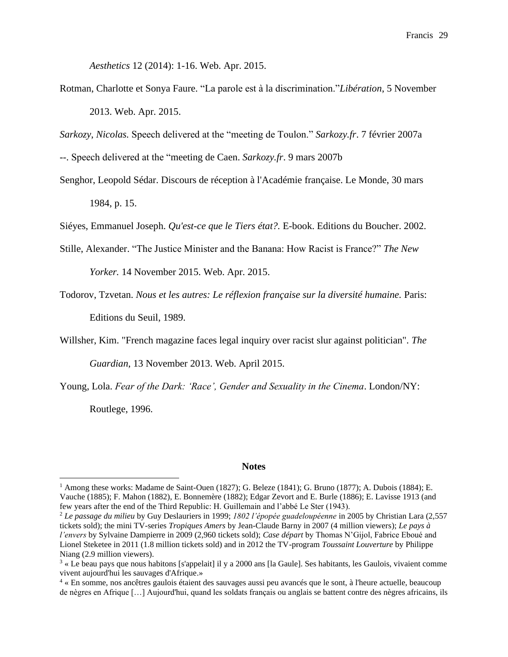*Aesthetics* 12 (2014): 1-16. Web. Apr. 2015.

Rotman, Charlotte et Sonya Faure. "La parole est à la discrimination."*Libération*, 5 November 2013. Web. Apr. 2015.

*Sarkozy*, *Nicolas.* Speech delivered at the "meeting de Toulon." *[Sarkozy.fr](http://www.sarkozy.fr/press/index.php?mode=cview&press_id=66&cat_id=3&lang=fr)*. 7 février 2007a

--. Speech delivered at the "meeting de Caen. *[Sarkozy.fr](http://www.sarkozy.fr/press/index.php?mode=cview&press_id=88&cat_id=3&lang=fr)*. 9 mars 2007b

Senghor, Leopold Sédar. Discours de réception à l'Académie française. Le Monde, 30 mars 1984, p. 15.

Siéyes, Emmanuel Joseph. *Qu'est-ce que le Tiers état?.* E-book. Editions du Boucher. 2002.

- Stille, Alexander. "The Justice Minister and the Banana: How Racist is France?" *The New Yorker.* 14 November 2015. Web. Apr. 2015.
- Todorov, Tzvetan. *Nous et les autres: Le réflexion française sur la diversité humaine.* Paris: Editions du Seuil, 1989.
- Willsher, Kim. "French magazine faces legal inquiry over racist slur against politician". *The Guardian*, 13 November 2013. Web. April 2015.
- Young, Lola. *Fear of the Dark: 'Race', Gender and Sexuality in the Cinema*. London/NY:

Routlege, 1996.

#### **Notes**

<sup>1</sup> Among these works: Madame de Saint-Ouen (1827); G. Beleze (1841); G. Bruno (1877); A. Dubois (1884); E. Vauche (1885); F. Mahon (1882), E. Bonnemère (1882); Edgar Zevort and E. Burle (1886); E. Lavisse 1913 (and few years after the end of the Third Republic: H. Guillemain and l'abbé Le Ster (1943).

<sup>2</sup> *Le passage du milieu* by Guy Deslauriers in 1999; *1802 l'épopée guadeloupéenne* in 2005 by Christian Lara (2,557 tickets sold); the mini TV-series *Tropiques Amers* by Jean-Claude Barny in 2007 (4 million viewers); *Le pays à l'envers* by Sylvaine Dampierre in 2009 (2,960 tickets sold); *Case départ* by Thomas N'Gijol, Fabrice Eboué and Lionel Steketee in 2011 (1.8 million tickets sold) and in 2012 the TV-program *Toussaint Louverture* by Philippe Niang (2.9 million viewers).

 $3 \times$  Le beau pays que nous habitons [s'appelait] il y a 2000 ans [la Gaule]. Ses habitants, les Gaulois, vivaient comme vivent aujourd'hui les sauvages d'Afrique.»

<sup>4</sup> « En somme, nos ancêtres gaulois étaient des sauvages aussi peu avancés que le sont, à l'heure actuelle, beaucoup de nègres en Afrique […] Aujourd'hui, quand les soldats français ou anglais se battent contre des nègres africains, ils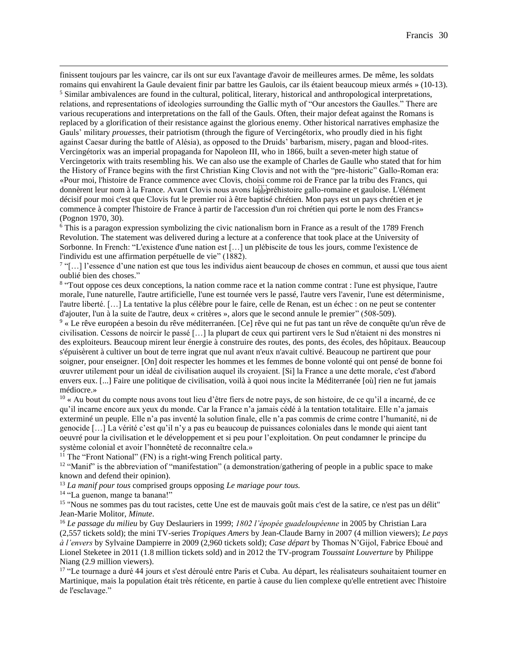finissent toujours par les vaincre, car ils ont sur eux l'avantage d'avoir de meilleures armes. De même, les soldats romains qui envahirent la Gaule devaient finir par battre les Gaulois, car ils étaient beaucoup mieux armés » (10-13).

<sup>5</sup> Similar ambivalences are found in the cultural, political, literary, historical and anthropological interpretations, relations, and representations of ideologies surrounding the Gallic myth of "Our ancestors the Gaulles." There are various recuperations and interpretations on the fall of the Gauls. Often, their major defeat against the Romans is replaced by a glorification of their resistance against the glorious enemy. Other historical narratives emphasize the Gauls' military *prouesses*, their patriotism (through the figure of Vercingétorix, who proudly died in his fight against Caesar during the battle of Alésia), as opposed to the Druids' barbarism, misery, pagan and blood-rites. Vercingétorix was an imperial propaganda for Napoleon III, who in 1866, built a seven-meter high statue of Vercingetorix with traits resembling his. We can also use the example of Charles de Gaulle who stated that for him the History of France begins with the first Christian King Clovis and not with the "pre-historic" Gallo-Roman era: «Pour moi, l'histoire de France commence avec Clovis, choisi comme roi de France par la tribu des Francs, qui donnèrent leur nom à la France. Avant Clovis nous avons la
préhistoire gallo-romaine et gauloise. L'élément décisif pour moi c'est que Clovis fut le premier roi à être baptisé chrétien. Mon pays est un pays chrétien et je commence à compter l'histoire de France à partir de l'accession d'un roi chrétien qui porte le nom des Francs» (Pognon 1970, 30).

<sup>6</sup> This is a paragon expression symbolizing the civic nationalism born in France as a result of the 1789 French Revolution. The statement was delivered during a lecture at a conference that took place at the University of Sorbonne. In French: "L'existence d'une nation est […] un plébiscite de tous les jours, comme l'existence de l'individu est une affirmation perpétuelle de vie" (1882).

<sup>7</sup> "[...] l'essence d'une nation est que tous les individus aient beaucoup de choses en commun, et aussi que tous aient oublié bien des choses."

8 "Tout oppose ces deux conceptions, la nation comme race et la nation comme contrat : l'une est physique, l'autre morale, l'une naturelle, l'autre artificielle, l'une est tournée vers le passé, l'autre vers l'avenir, l'une est déterminisme, l'autre liberté. […] La tentative la plus célèbre pour le faire, celle de Renan, est un échec : on ne peut se contenter d'ajouter, l'un à la suite de l'autre, deux « critères », alors que le second annule le premier" (508-509).

<sup>9</sup> « Le rêve européen a besoin du rêve méditerranéen. [Ce] rêve qui ne fut pas tant un rêve de conquête qu'un rêve de civilisation. Cessons de noircir le passé […] la plupart de ceux qui partirent vers le Sud n'étaient ni des monstres ni des exploiteurs. Beaucoup mirent leur énergie à construire des routes, des ponts, des écoles, des hôpitaux. Beaucoup s'épuisèrent à cultiver un bout de terre ingrat que nul avant n'eux n'avait cultivé. Beaucoup ne partirent que pour soigner, pour enseigner. [On] doit respecter les hommes et les femmes de bonne volonté qui ont pensé de bonne foi œuvrer utilement pour un idéal de civilisation auquel ils croyaient. [Si] la France a une dette morale, c'est d'abord envers eux. [...] Faire une politique de civilisation, voilà à quoi nous incite la Méditerranée [où] rien ne fut jamais médiocre.»

 $10 \times Au$  bout du compte nous avons tout lieu d'être fiers de notre pays, de son histoire, de ce qu'il a incarné, de ce qu'il incarne encore aux yeux du monde. Car la France n'a jamais cédé à la tentation totalitaire. Elle n'a jamais exterminé un peuple. Elle n'a pas inventé la solution finale, elle n'a pas commis de crime contre l'humanité, ni de genocide […] La vérité c'est qu'il n'y a pas eu beaucoup de puissances coloniales dans le monde qui aient tant oeuvré pour la civilisation et le développement et si peu pour l'exploitation. On peut condamner le principe du système colonial et avoir l'honnêteté de reconnaître cela.»

 $11$ <sup>I</sup> The "Front National" (FN) is a right-wing French political party.

<sup>12</sup> "Manif" is the abbreviation of "manifestation" (a demonstration/gathering of people in a public space to make known and defend their opinion).

<sup>13</sup> *La manif pour tous* comprised groups opposing *Le mariage pour tous.*

<sup>14</sup> "La guenon, mange ta banana!"

<sup>15</sup> "Nous ne sommes pas du tout racistes, cette Une est de mauvais goût mais c'est de la satire, ce n'est pas un délit" Jean-Marie Molitor, *Minute*.

<sup>16</sup> *Le passage du milieu* by Guy Deslauriers in 1999; *1802 l'épopée guadeloupéenne* in 2005 by Christian Lara (2,557 tickets sold); the mini TV-series *Tropiques Amers* by Jean-Claude Barny in 2007 (4 million viewers); *Le pays à l'envers* by Sylvaine Dampierre in 2009 (2,960 tickets sold); *Case départ* by Thomas N'Gijol, Fabrice Eboué and Lionel Steketee in 2011 (1.8 million tickets sold) and in 2012 the TV-program *Toussaint Louverture* by Philippe Niang (2.9 million viewers).

<sup>17</sup> "Le tournage a duré 44 jours et s'est déroulé entre Paris et Cuba. Au départ, les réalisateurs souhaitaient tourner en Martinique, mais la population était très réticente, en partie à cause du lien complexe qu'elle entretient avec l'histoire de l'esclavage."